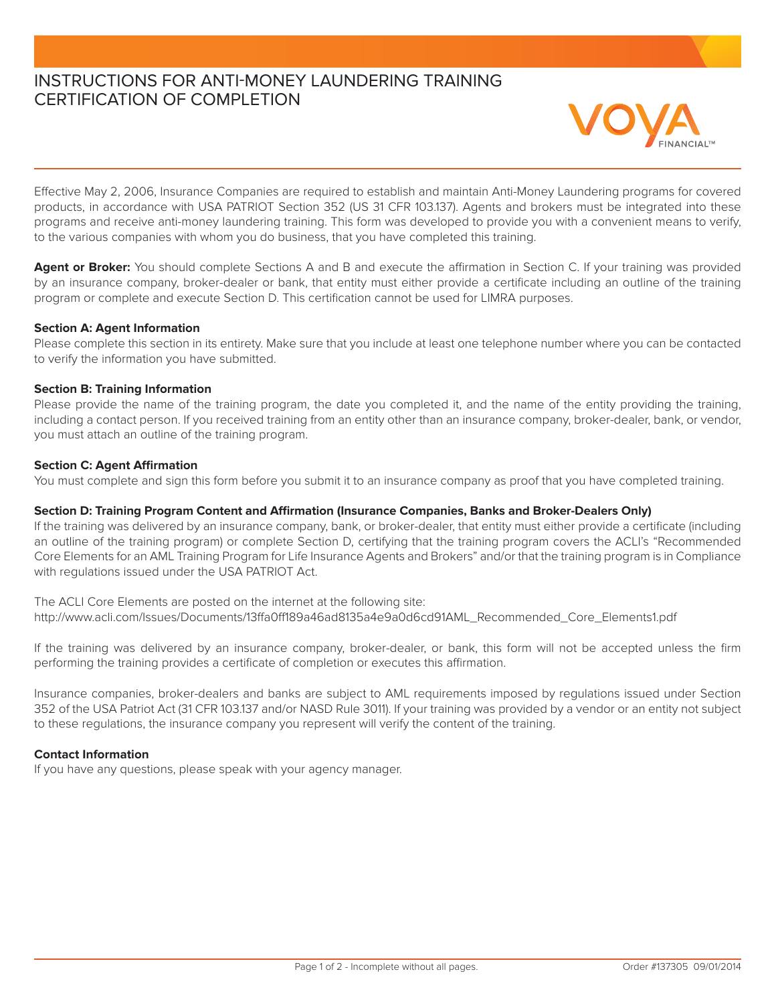# INSTRUCTIONS FOR ANTI-MONEY LAUNDERING TRAINING CERTIFICATION OF COMPLETION



Effective May 2, 2006, Insurance Companies are required to establish and maintain Anti-Money Laundering programs for covered products, in accordance with USA PATRIOT Section 352 (US 31 CFR 103.137). Agents and brokers must be integrated into these programs and receive anti-money laundering training. This form was developed to provide you with a convenient means to verify, to the various companies with whom you do business, that you have completed this training.

Agent or Broker: You should complete Sections A and B and execute the affirmation in Section C. If your training was provided by an insurance company, broker-dealer or bank, that entity must either provide a certificate including an outline of the training program or complete and execute Section D. This certification cannot be used for LIMRA purposes.

### **Section A: Agent Information**

Please complete this section in its entirety. Make sure that you include at least one telephone number where you can be contacted to verify the information you have submitted.

### **Section B: Training Information**

Please provide the name of the training program, the date you completed it, and the name of the entity providing the training, including a contact person. If you received training from an entity other than an insurance company, broker-dealer, bank, or vendor, you must attach an outline of the training program.

### **Section C: Agent Affirmation**

You must complete and sign this form before you submit it to an insurance company as proof that you have completed training.

### **Section D: Training Program Content and Affirmation (Insurance Companies, Banks and Broker-Dealers Only)**

If the training was delivered by an insurance company, bank, or broker-dealer, that entity must either provide a certificate (including an outline of the training program) or complete Section D, certifying that the training program covers the ACLI's "Recommended Core Elements for an AML Training Program for Life Insurance Agents and Brokers" and/or that the training program is in Compliance with regulations issued under the USA PATRIOT Act.

The ACLI Core Elements are posted on the internet at the following site: http://www.acli.com/Issues/Documents/13ffa0ff189a46ad8135a4e9a0d6cd91AML\_Recommended\_Core\_Elements1.pdf

If the training was delivered by an insurance company, broker-dealer, or bank, this form will not be accepted unless the firm performing the training provides a certificate of completion or executes this affirmation.

Insurance companies, broker-dealers and banks are subject to AML requirements imposed by regulations issued under Section 352 of the USA Patriot Act (31 CFR 103.137 and/or NASD Rule 3011). If your training was provided by a vendor or an entity not subject to these regulations, the insurance company you represent will verify the content of the training.

## **Contact Information**

If you have any questions, please speak with your agency manager.